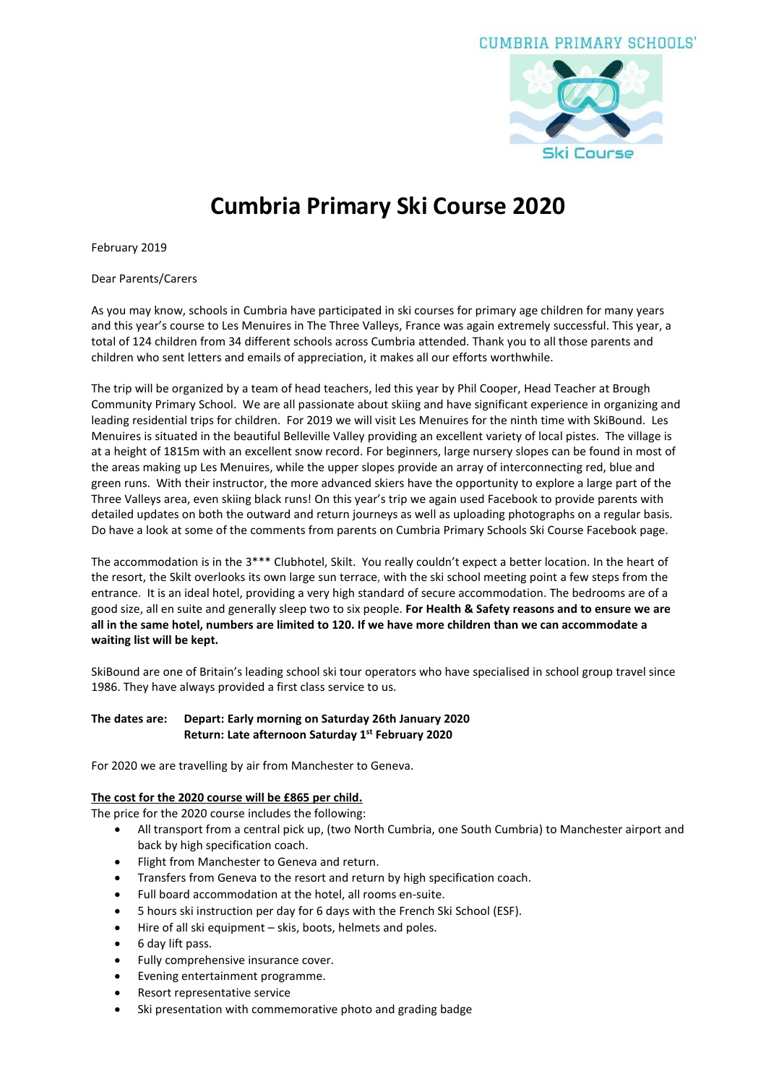# CUMBRIA PRIMARY SCHOOLS'



# **Cumbria Primary Ski Course 2020**

February 2019

Dear Parents/Carers

As you may know, schools in Cumbria have participated in ski courses for primary age children for many years and this year's course to Les Menuires in The Three Valleys, France was again extremely successful. This year, a total of 124 children from 34 different schools across Cumbria attended. Thank you to all those parents and children who sent letters and emails of appreciation, it makes all our efforts worthwhile.

The trip will be organized by a team of head teachers, led this year by Phil Cooper, Head Teacher at Brough Community Primary School. We are all passionate about skiing and have significant experience in organizing and leading residential trips for children. For 2019 we will visit Les Menuires for the ninth time with SkiBound. Les Menuires is situated in the beautiful Belleville Valley providing an excellent variety of local pistes. The village is at a height of 1815m with an excellent snow record. For beginners, large nursery slopes can be found in most of the areas making up Les Menuires, while the upper slopes provide an array of interconnecting red, blue and green runs. With their instructor, the more advanced skiers have the opportunity to explore a large part of the Three Valleys area, even skiing black runs! On this year's trip we again used Facebook to provide parents with detailed updates on both the outward and return journeys as well as uploading photographs on a regular basis. Do have a look at some of the comments from parents on Cumbria Primary Schools Ski Course Facebook page.

The accommodation is in the 3\*\*\* Clubhotel, Skilt. You really couldn't expect a better location. In the heart of the resort, the Skilt overlooks its own large sun terrace, with the ski school meeting point a few steps from the entrance. It is an ideal hotel, providing a very high standard of secure accommodation. The bedrooms are of a good size, all en suite and generally sleep two to six people. **For Health & Safety reasons and to ensure we are** all in the same hotel, numbers are limited to 120. If we have more children than we can accommodate a **waiting list will be kept.**

SkiBound are one of Britain's leading school ski tour operators who have specialised in school group travel since 1986. They have always provided a first class service to us.

## **The dates are: Depart: Early morning on Saturday 26th January 2020 Return: Late afternoon Saturday 1 st February 2020**

For 2020 we are travelling by air from Manchester to Geneva.

#### **The cost for the 2020 course will be £865 per child.**

The price for the 2020 course includes the following:

- All transport from a central pick up, (two North Cumbria, one South Cumbria) to Manchester airport and back by high specification coach.
- Flight from Manchester to Geneva and return.
- Transfers from Geneva to the resort and return by high specification coach.
- Full board accommodation at the hotel, all rooms en-suite.
- 5 hours ski instruction per day for 6 days with the French Ski School (ESF).
- Hire of all ski equipment skis, boots, helmets and poles.
- 6 day lift pass.
- Fully comprehensive insurance cover.
- Evening entertainment programme.
- Resort representative service
- Ski presentation with commemorative photo and grading badge